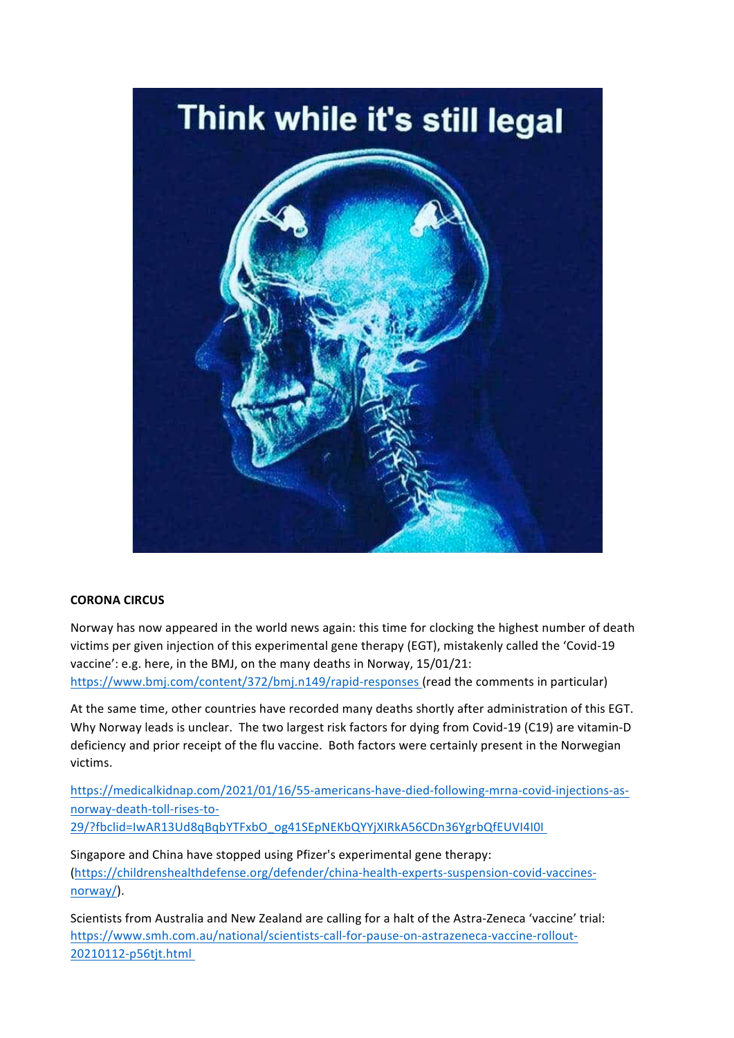

## **CORONA CIRCUS**

Norway has now appeared in the world news again: this time for clocking the highest number of death victims per given injection of this experimental gene therapy (EGT), mistakenly called the 'Covid-19 vaccine': e.g. here, in the BMJ, on the many deaths in Norway, 15/01/21: https://www.bmj.com/content/372/bmj.n149/rapid-responses (read the comments in particular)

At the same time, other countries have recorded many deaths shortly after administration of this EGT. Why Norway leads is unclear. The two largest risk factors for dying from Covid-19 (C19) are vitamin-D deficiency and prior receipt of the flu vaccine. Both factors were certainly present in the Norwegian victims. 

https://medicalkidnap.com/2021/01/16/55-americans-have-died-following-mrna-covid-injections-asnorway-death-toll-rises-to-29/?fbclid=IwAR13Ud8qBqbYTFxbO\_og41SEpNEKbQYYjXIRkA56CDn36YgrbQfEUVI4I0I 

Singapore and China have stopped using Pfizer's experimental gene therapy: (https://childrenshealthdefense.org/defender/china-health-experts-suspension-covid-vaccinesnorway/).

Scientists from Australia and New Zealand are calling for a halt of the Astra-Zeneca 'vaccine' trial: https://www.smh.com.au/national/scientists-call-for-pause-on-astrazeneca-vaccine-rollout-20210112-p56tjt.html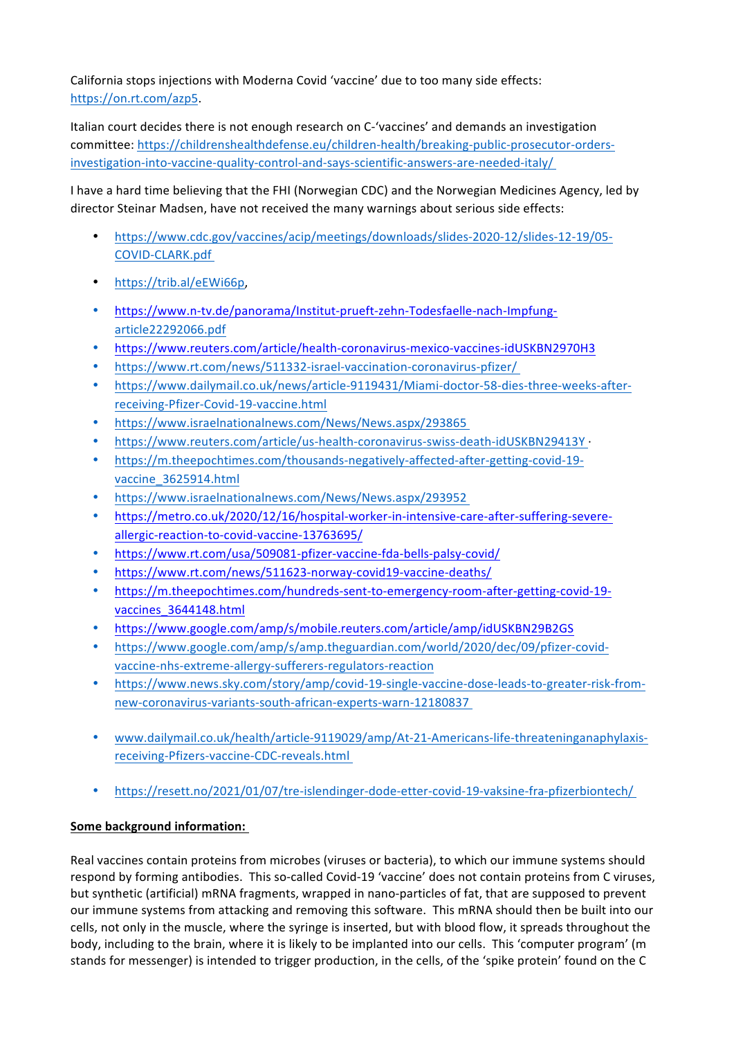California stops injections with Moderna Covid 'vaccine' due to too many side effects: https://on.rt.com/azp5.

Italian court decides there is not enough research on C-'vaccines' and demands an investigation committee: https://childrenshealthdefense.eu/children-health/breaking-public-prosecutor-ordersinvestigation-into-vaccine-quality-control-and-says-scientific-answers-are-needed-italy/ 

I have a hard time believing that the FHI (Norwegian CDC) and the Norwegian Medicines Agency, led by director Steinar Madsen, have not received the many warnings about serious side effects:

- https://www.cdc.gov/vaccines/acip/meetings/downloads/slides-2020-12/slides-12-19/05- COVID-CLARK.pdf
- https://trib.al/eEWi66p,
- https://www.n-tv.de/panorama/Institut-prueft-zehn-Todesfaelle-nach-Impfungarticle22292066.pdf
- https://www.reuters.com/article/health-coronavirus-mexico-vaccines-idUSKBN2970H3
- https://www.rt.com/news/511332-israel-vaccination-coronavirus-pfizer/
- https://www.dailymail.co.uk/news/article-9119431/Miami-doctor-58-dies-three-weeks-afterreceiving-Pfizer-Covid-19-vaccine.html
- https://www.israelnationalnews.com/News/News.aspx/293865
- https://www.reuters.com/article/us-health-coronavirus-swiss-death-idUSKBN29413Y ·
- https://m.theepochtimes.com/thousands-negatively-affected-after-getting-covid-19 vaccine\_3625914.html
- https://www.israelnationalnews.com/News/News.aspx/293952
- https://metro.co.uk/2020/12/16/hospital-worker-in-intensive-care-after-suffering-severeallergic-reaction-to-covid-vaccine-13763695/
- https://www.rt.com/usa/509081-pfizer-vaccine-fda-bells-palsy-covid/
- https://www.rt.com/news/511623-norway-covid19-vaccine-deaths/
- https://m.theepochtimes.com/hundreds-sent-to-emergency-room-after-getting-covid-19 vaccines\_3644148.html
- https://www.google.com/amp/s/mobile.reuters.com/article/amp/idUSKBN29B2GS
- https://www.google.com/amp/s/amp.theguardian.com/world/2020/dec/09/pfizer-covidvaccine-nhs-extreme-allergy-sufferers-regulators-reaction
- https://www.news.sky.com/story/amp/covid-19-single-vaccine-dose-leads-to-greater-risk-fromnew-coronavirus-variants-south-african-experts-warn-12180837
- www.dailymail.co.uk/health/article-9119029/amp/At-21-Americans-life-threateninganaphylaxisreceiving-Pfizers-vaccine-CDC-reveals.html
- https://resett.no/2021/01/07/tre-islendinger-dode-etter-covid-19-vaksine-fra-pfizerbiontech/

## **Some background information:**

Real vaccines contain proteins from microbes (viruses or bacteria), to which our immune systems should respond by forming antibodies. This so-called Covid-19 'vaccine' does not contain proteins from C viruses, but synthetic (artificial) mRNA fragments, wrapped in nano-particles of fat, that are supposed to prevent our immune systems from attacking and removing this software. This mRNA should then be built into our cells, not only in the muscle, where the syringe is inserted, but with blood flow, it spreads throughout the body, including to the brain, where it is likely to be implanted into our cells. This 'computer program' (m stands for messenger) is intended to trigger production, in the cells, of the 'spike protein' found on the C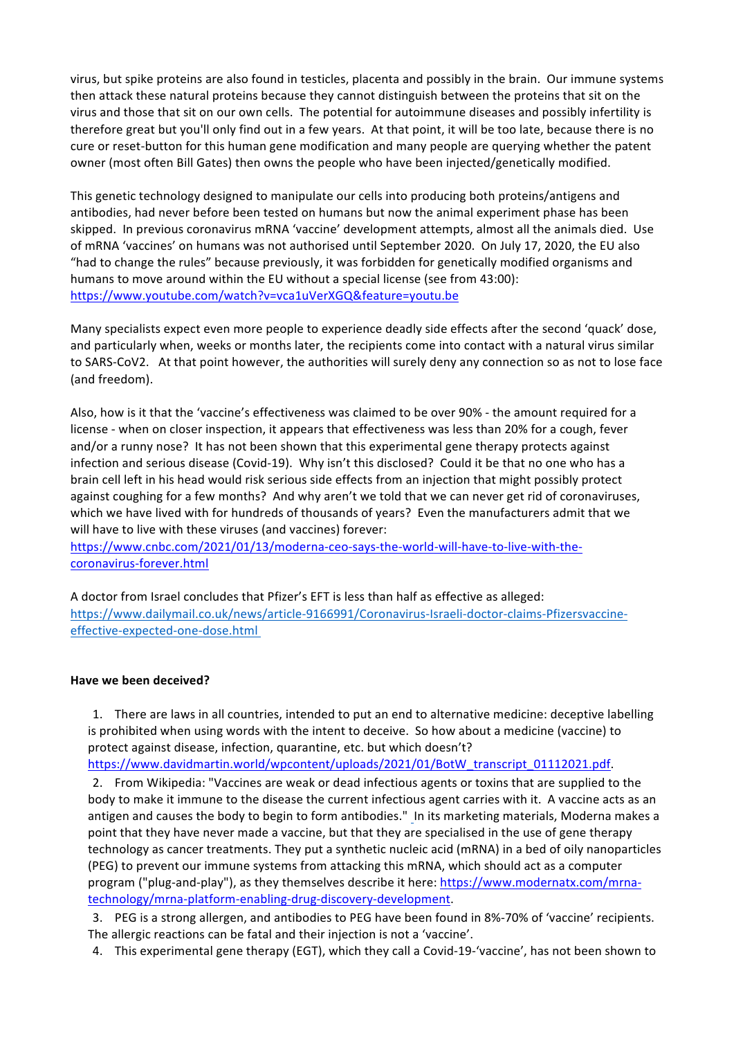virus, but spike proteins are also found in testicles, placenta and possibly in the brain. Our immune systems then attack these natural proteins because they cannot distinguish between the proteins that sit on the virus and those that sit on our own cells. The potential for autoimmune diseases and possibly infertility is therefore great but you'll only find out in a few years. At that point, it will be too late, because there is no cure or reset-button for this human gene modification and many people are querying whether the patent owner (most often Bill Gates) then owns the people who have been injected/genetically modified.

This genetic technology designed to manipulate our cells into producing both proteins/antigens and antibodies, had never before been tested on humans but now the animal experiment phase has been skipped. In previous coronavirus mRNA 'vaccine' development attempts, almost all the animals died. Use of mRNA 'vaccines' on humans was not authorised until September 2020. On July 17, 2020, the EU also "had to change the rules" because previously, it was forbidden for genetically modified organisms and humans to move around within the EU without a special license (see from 43:00): https://www.youtube.com/watch?v=vca1uVerXGQ&feature=youtu.be

Many specialists expect even more people to experience deadly side effects after the second 'quack' dose, and particularly when, weeks or months later, the recipients come into contact with a natural virus similar to SARS-CoV2. At that point however, the authorities will surely deny any connection so as not to lose face (and freedom).

Also, how is it that the 'vaccine's effectiveness was claimed to be over 90% - the amount required for a license - when on closer inspection, it appears that effectiveness was less than 20% for a cough, fever and/or a runny nose? It has not been shown that this experimental gene therapy protects against infection and serious disease (Covid-19). Why isn't this disclosed? Could it be that no one who has a brain cell left in his head would risk serious side effects from an injection that might possibly protect against coughing for a few months? And why aren't we told that we can never get rid of coronaviruses, which we have lived with for hundreds of thousands of years? Even the manufacturers admit that we will have to live with these viruses (and vaccines) forever:

https://www.cnbc.com/2021/01/13/moderna-ceo-says-the-world-will-have-to-live-with-thecoronavirus-forever.html

A doctor from Israel concludes that Pfizer's EFT is less than half as effective as alleged: https://www.dailymail.co.uk/news/article-9166991/Coronavirus-Israeli-doctor-claims-Pfizersvaccineeffective-expected-one-dose.html 

## **Have we been deceived?**

1. There are laws in all countries, intended to put an end to alternative medicine: deceptive labelling is prohibited when using words with the intent to deceive. So how about a medicine (vaccine) to protect against disease, infection, quarantine, etc. but which doesn't? https://www.davidmartin.world/wpcontent/uploads/2021/01/BotW\_transcript\_01112021.pdf.

2. From Wikipedia: "Vaccines are weak or dead infectious agents or toxins that are supplied to the body to make it immune to the disease the current infectious agent carries with it. A vaccine acts as an antigen and causes the body to begin to form antibodies." In its marketing materials, Moderna makes a point that they have never made a vaccine, but that they are specialised in the use of gene therapy technology as cancer treatments. They put a synthetic nucleic acid (mRNA) in a bed of oily nanoparticles (PEG) to prevent our immune systems from attacking this mRNA, which should act as a computer program ("plug-and-play"), as they themselves describe it here: https://www.modernatx.com/mrnatechnology/mrna-platform-enabling-drug-discovery-development.

3. PEG is a strong allergen, and antibodies to PEG have been found in 8%-70% of 'vaccine' recipients. The allergic reactions can be fatal and their injection is not a 'vaccine'.

4. This experimental gene therapy (EGT), which they call a Covid-19-'vaccine', has not been shown to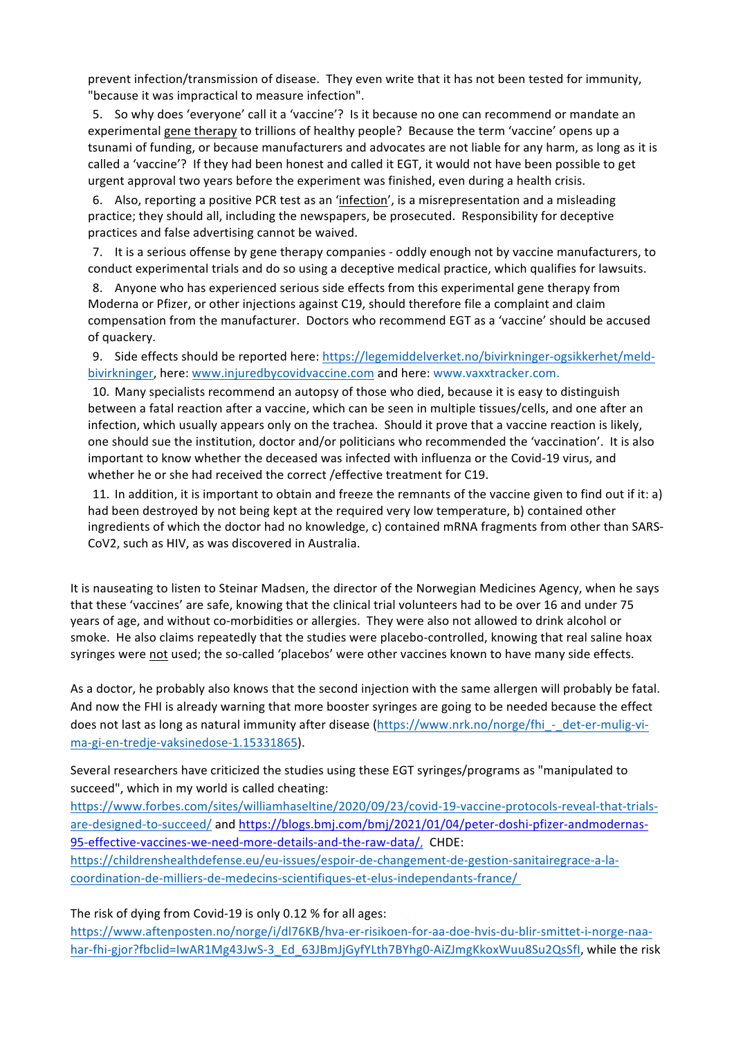prevent infection/transmission of disease. They even write that it has not been tested for immunity, "because it was impractical to measure infection".

5. So why does 'everyone' call it a 'vaccine'? Is it because no one can recommend or mandate an experimental gene therapy to trillions of healthy people? Because the term 'vaccine' opens up a tsunami of funding, or because manufacturers and advocates are not liable for any harm, as long as it is called a 'vaccine'? If they had been honest and called it EGT, it would not have been possible to get urgent approval two years before the experiment was finished, even during a health crisis.

6. Also, reporting a positive PCR test as an 'infection', is a misrepresentation and a misleading practice; they should all, including the newspapers, be prosecuted. Responsibility for deceptive practices and false advertising cannot be waived.

7. It is a serious offense by gene therapy companies - oddly enough not by vaccine manufacturers, to conduct experimental trials and do so using a deceptive medical practice, which qualifies for lawsuits.

8. Anyone who has experienced serious side effects from this experimental gene therapy from Moderna or Pfizer, or other injections against C19, should therefore file a complaint and claim compensation from the manufacturer. Doctors who recommend EGT as a 'vaccine' should be accused of quackery.

9. Side effects should be reported here: https://legemiddelverket.no/bivirkninger-ogsikkerhet/meldbivirkninger, here: www.injuredbycovidvaccine.com and here: www.vaxxtracker.com.

10. Many specialists recommend an autopsy of those who died, because it is easy to distinguish between a fatal reaction after a vaccine, which can be seen in multiple tissues/cells, and one after an infection, which usually appears only on the trachea. Should it prove that a vaccine reaction is likely, one should sue the institution, doctor and/or politicians who recommended the 'vaccination'. It is also important to know whether the deceased was infected with influenza or the Covid-19 virus, and whether he or she had received the correct /effective treatment for C19.

11. In addition, it is important to obtain and freeze the remnants of the vaccine given to find out if it: a) had been destroyed by not being kept at the required very low temperature, b) contained other ingredients of which the doctor had no knowledge, c) contained mRNA fragments from other than SARS-CoV2, such as HIV, as was discovered in Australia.

It is nauseating to listen to Steinar Madsen, the director of the Norwegian Medicines Agency, when he says that these 'vaccines' are safe, knowing that the clinical trial volunteers had to be over 16 and under 75 years of age, and without co-morbidities or allergies. They were also not allowed to drink alcohol or smoke. He also claims repeatedly that the studies were placebo-controlled, knowing that real saline hoax syringes were not used; the so-called 'placebos' were other vaccines known to have many side effects.

As a doctor, he probably also knows that the second injection with the same allergen will probably be fatal. And now the FHI is already warning that more booster syringes are going to be needed because the effect does not last as long as natural immunity after disease (https://www.nrk.no/norge/fhi - det-er-mulig-vima-gi-en-tredje-vaksinedose-1.15331865).

Several researchers have criticized the studies using these EGT syringes/programs as "manipulated to succeed", which in my world is called cheating:

https://www.forbes.com/sites/williamhaseltine/2020/09/23/covid-19-vaccine-protocols-reveal-that-trialsare-designed-to-succeed/ and https://blogs.bmj.com/bmj/2021/01/04/peter-doshi-pfizer-andmodernas-95-effective-vaccines-we-need-more-details-and-the-raw-data/, CHDE: https://childrenshealthdefense.eu/eu-issues/espoir-de-changement-de-gestion-sanitairegrace-a-lacoordination-de-milliers-de-medecins-scientifiques-et-elus-independants-france/ 

The risk of dying from Covid-19 is only 0.12 % for all ages:

https://www.aftenposten.no/norge/i/dl76KB/hva-er-risikoen-for-aa-doe-hvis-du-blir-smittet-i-norge-naahar-fhi-gjor?fbclid=IwAR1Mg43JwS-3\_Ed\_63JBmJjGyfYLth7BYhg0-AiZJmgKkoxWuu8Su2QsSfl, while the risk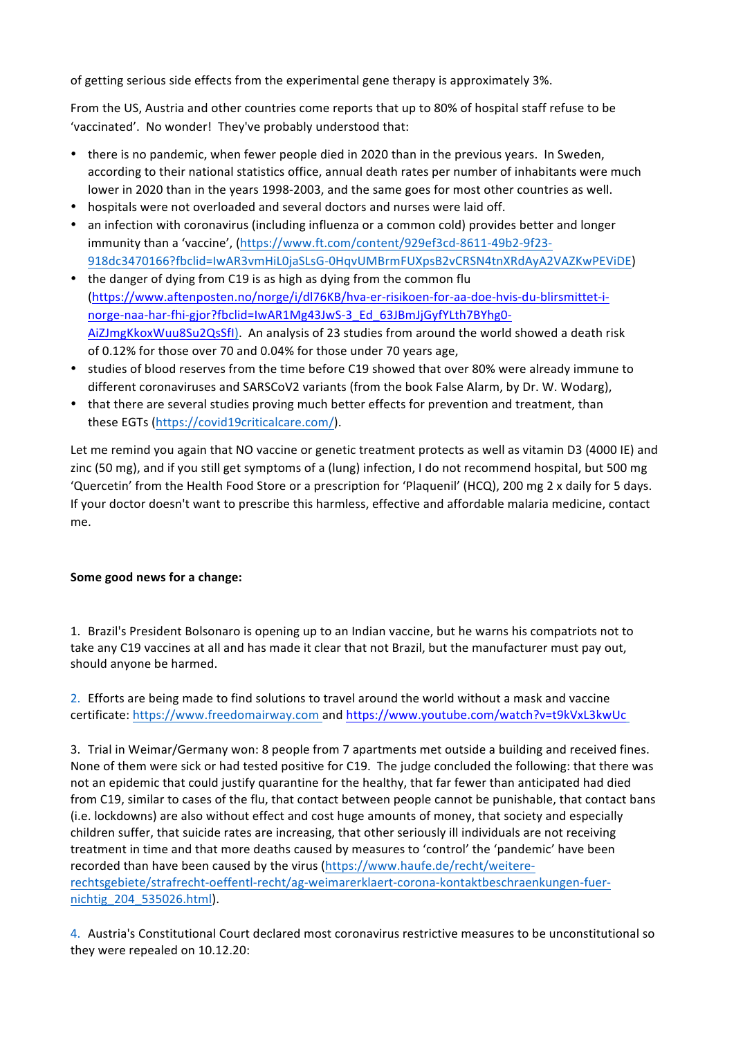of getting serious side effects from the experimental gene therapy is approximately 3%.

From the US, Austria and other countries come reports that up to 80% of hospital staff refuse to be 'vaccinated'. No wonder! They've probably understood that:

- there is no pandemic, when fewer people died in 2020 than in the previous years. In Sweden, according to their national statistics office, annual death rates per number of inhabitants were much lower in 2020 than in the years 1998-2003, and the same goes for most other countries as well.
- hospitals were not overloaded and several doctors and nurses were laid off.
- an infection with coronavirus (including influenza or a common cold) provides better and longer immunity than a 'vaccine', (https://www.ft.com/content/929ef3cd-8611-49b2-9f23-918dc3470166?fbclid=IwAR3vmHiL0jaSLsG-0HqvUMBrmFUXpsB2vCRSN4tnXRdAyA2VAZKwPEViDE)
- the danger of dying from C19 is as high as dying from the common flu (https://www.aftenposten.no/norge/i/dl76KB/hva-er-risikoen-for-aa-doe-hvis-du-blirsmittet-inorge-naa-har-fhi-gjor?fbclid=IwAR1Mg43JwS-3\_Ed\_63JBmJjGyfYLth7BYhg0- AiZJmgKkoxWuu8Su2QsSfl). An analysis of 23 studies from around the world showed a death risk of 0.12% for those over 70 and 0.04% for those under 70 years age,
- studies of blood reserves from the time before C19 showed that over 80% were already immune to different coronaviruses and SARSCoV2 variants (from the book False Alarm, by Dr. W. Wodarg),
- that there are several studies proving much better effects for prevention and treatment, than these EGTs (https://covid19criticalcare.com/).

Let me remind you again that NO vaccine or genetic treatment protects as well as vitamin D3 (4000 IE) and zinc (50 mg), and if you still get symptoms of a (lung) infection, I do not recommend hospital, but 500 mg 'Quercetin' from the Health Food Store or a prescription for 'Plaquenil' (HCQ), 200 mg 2 x daily for 5 days. If your doctor doesn't want to prescribe this harmless, effective and affordable malaria medicine, contact me. 

## **Some good news for a change:**

1. Brazil's President Bolsonaro is opening up to an Indian vaccine, but he warns his compatriots not to take any C19 vaccines at all and has made it clear that not Brazil, but the manufacturer must pay out, should anyone be harmed.

2. Efforts are being made to find solutions to travel around the world without a mask and vaccine certificate: https://www.freedomairway.com and https://www.youtube.com/watch?v=t9kVxL3kwUc

3. Trial in Weimar/Germany won: 8 people from 7 apartments met outside a building and received fines. None of them were sick or had tested positive for C19. The judge concluded the following: that there was not an epidemic that could justify quarantine for the healthy, that far fewer than anticipated had died from C19, similar to cases of the flu, that contact between people cannot be punishable, that contact bans (i.e. lockdowns) are also without effect and cost huge amounts of money, that society and especially children suffer, that suicide rates are increasing, that other seriously ill individuals are not receiving treatment in time and that more deaths caused by measures to 'control' the 'pandemic' have been recorded than have been caused by the virus (https://www.haufe.de/recht/weitererechtsgebiete/strafrecht-oeffentl-recht/ag-weimarerklaert-corona-kontaktbeschraenkungen-fuernichtig\_204\_535026.html). 

4. Austria's Constitutional Court declared most coronavirus restrictive measures to be unconstitutional so they were repealed on 10.12.20: